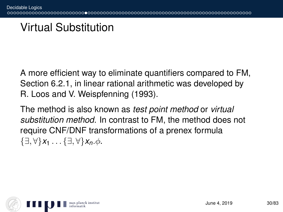### Virtual Substitution

A more efficient way to eliminate quantifiers compared to FM, Section 6.2.1, in linear rational arithmetic was developed by R. Loos and V. Weispfenning (1993).

The method is also known as *test point method* or *virtual substitution method*. In contrast to FM, the method does not require CNF/DNF transformations of a prenex formula {∃, ∀}*x*<sup>1</sup> . . . {∃, ∀}*xn*.φ.

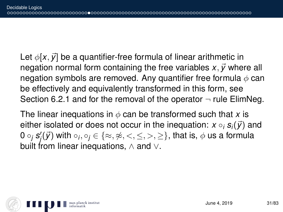Let  $\phi$ [x,  $\vec{v}$ ] be a quantifier-free formula of linear arithmetic in negation normal form containing the free variables  $x, \vec{y}$  where all negation symbols are removed. Any quantifier free formula  $\phi$  can be effectively and equivalently transformed in this form, see Section 6.2.1 and for the removal of the operator  $\neg$  rule ElimNeg.

The linear inequations in  $\phi$  can be transformed such that x is either isolated or does not occur in the inequation:  $x \circ_i s_i(\vec{y})$  and 0  $\circ_j$   $\pmb{s}'_j(\vec{\pmb{\mathcal{y}}})$  with  $\circ_j,\circ_j\in\{\approx,\not\approx,<,\leq,>,\geq\},$  that is,  $\phi$  us a formula built from linear inequations, ∧ and ∨.

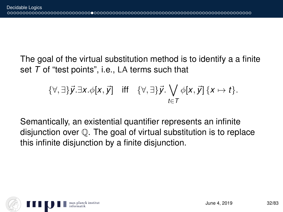The goal of the virtual substitution method is to identify a a finite set *T* of "test points", i.e., LA terms such that

$$
\{\forall,\exists\}\vec{y}.\exists x.\phi[x,\vec{y}] \quad \text{iff} \quad \{\forall,\exists\}\vec{y}.\bigvee_{t\in\mathcal{T}}\phi[x,\vec{y}]\{x\mapsto t\}.
$$

Semantically, an existential quantifier represents an infinite disjunction over Q. The goal of virtual substitution is to replace this infinite disjunction by a finite disjunction.

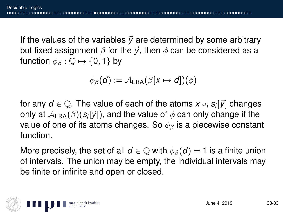If the values of the variables  $\vec{y}$  are determined by some arbitrary but fixed assignment  $\beta$  for the  $\vec{v}$ , then  $\phi$  can be considered as a function  $\phi_{\beta} : \mathbb{Q} \mapsto \{0, 1\}$  by

$$
\phi_{\beta}(d) := \mathcal{A}_{\text{LRA}}(\beta[x \mapsto d])(\phi)
$$

for any  $d \in \mathbb{Q}.$  The value of each of the atoms  $x \circ_i s_i[\vec{y}]$  changes only at  $\mathcal{A}_{\mathsf{LRA}}(\beta)(\pmb{\mathcal{S}}_i[\vec{\mathcal{Y}}])$ , and the value of  $\phi$  can only change if the value of one of its atoms changes. So  $\phi_{\beta}$  is a piecewise constant function.

More precisely, the set of all  $d \in \mathbb{Q}$  with  $\phi_{\beta}(d) = 1$  is a finite union of intervals. The union may be empty, the individual intervals may be finite or infinite and open or closed.

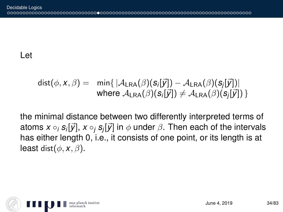#### Let

$$
dist(\phi, x, \beta) = \min \{ |\mathcal{A}_{\text{LRA}}(\beta)(s_i[\vec{y}]) - \mathcal{A}_{\text{LRA}}(\beta)(s_j[\vec{y}])| \\ \text{where } \mathcal{A}_{\text{LRA}}(\beta)(s_i[\vec{y}]) \neq \mathcal{A}_{\text{LRA}}(\beta)(s_j[\vec{y}]) \}
$$

the minimal distance between two differently interpreted terms of atoms *x* ◦*<sup>i</sup> s<sup>i</sup>* [~*y*], *x* ◦*<sup>j</sup> s<sup>j</sup>* [~*y*] in φ under β. Then each of the intervals has either length 0, i.e., it consists of one point, or its length is at least dist $(\phi, x, \beta)$ .

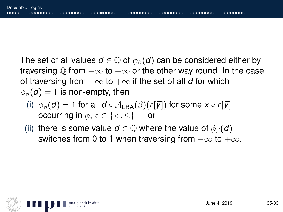The set of all values  $d \in \mathbb{Q}$  of  $\phi_{\beta}(d)$  can be considered either by traversing  $\mathbb Q$  from  $-\infty$  to  $+\infty$  or the other way round. In the case of traversing from  $-\infty$  to  $+\infty$  if the set of all *d* for which  $\phi_{\beta}(\boldsymbol{d}) = 1$  is non-empty, then

- (i)  $\phi_\beta(d) = 1$  for all  $d \circ A_{\text{LRA}}(\beta)(r[\vec{y}])$  for some  $x \circ r[\vec{y}]$ occurring in  $\phi$ ,  $\circ \in \{ \lt, \ll \}$  or
- (ii) there is some value  $d \in \mathbb{Q}$  where the value of  $\phi_{\beta}(d)$ switches from 0 to 1 when traversing from  $-\infty$  to  $+\infty$ .

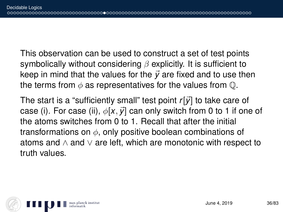This observation can be used to construct a set of test points symbolically without considering  $\beta$  explicitly. It is sufficient to keep in mind that the values for the  $\vec{v}$  are fixed and to use then the terms from  $\phi$  as representatives for the values from  $\mathbb{O}$ .

The start is a "sufficiently small" test point  $r[\vec{y}]$  to take care of case (i). For case (ii),  $\phi[x, \vec{y}]$  can only switch from 0 to 1 if one of the atoms switches from 0 to 1. Recall that after the initial transformations on  $\phi$ , only positive boolean combinations of atoms and  $\land$  and  $\lor$  are left, which are monotonic with respect to truth values.

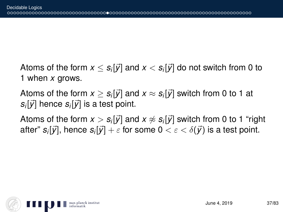Atoms of the form  $x \leq s_i[\vec{y}]$  and  $x < s_i[\vec{y}]$  do not switch from 0 to 1 when *x* grows.

Atoms of the form  $x\geq s_i[\vec{y}]$  and  $x\approx s_i[\vec{y}]$  switch from 0 to 1 at  $s_i[\vec{y}]$  hence  $s_i[\vec{y}]$  is a test point.

Atoms of the form  $x > s_i[\vec{y}]$  and  $x \not\approx s_i[\vec{y}]$  switch from 0 to 1 "right after"  $s_i[\vec{y}],$  hence  $s_i[\vec{y}] + \varepsilon$  for some  $0 < \varepsilon < \delta(\vec{y})$  is a test point.

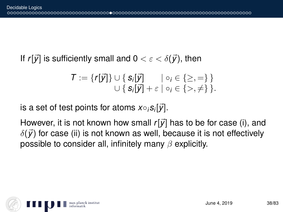If  $r[\vec{y}]$  is sufficiently small and  $0 < \varepsilon < \delta(\vec{y})$ , then

$$
\mathcal{T} := \{r[\vec{y}]\} \cup \{s_i[\vec{y}] \mid \circ_i \in \{\geq,=\}\}
$$
  

$$
\cup \{s_i[\vec{y}] + \varepsilon \mid \circ_i \in \{\gt,\neq\}\}.
$$

 $i$ s a set of test points for atoms  $x \circ_i s_i[ \vec{\mathcal{y}}].$ 

However, it is not known how small  $r[\vec{y}]$  has to be for case (i), and  $\delta(\vec{y})$  for case (ii) is not known as well, because it is not effectively possible to consider all, infinitely many  $\beta$  explicitly.

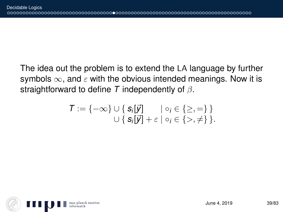The idea out the problem is to extend the LA language by further symbols  $\infty$ , and  $\varepsilon$  with the obvious intended meanings. Now it is straightforward to define *T* independently of β.

$$
T := \{-\infty\} \cup \{ \mathbf{S}_i[\vec{y}] \quad | \circ_i \in \{\geq,=\} \}
$$
  

$$
\cup \{ \mathbf{S}_i[\vec{y}] + \varepsilon | \circ_i \in \{\gt,\neq\} \}.
$$

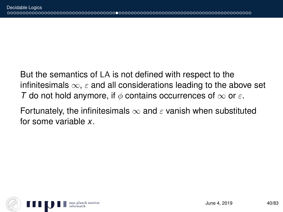But the semantics of LA is not defined with respect to the infinitesimals  $\infty$ ,  $\varepsilon$  and all considerations leading to the above set *T* do not hold anymore, if  $\phi$  contains occurrences of  $\infty$  or  $\varepsilon$ .

Fortunately, the infinitesimals  $\infty$  and  $\varepsilon$  vanish when substituted for some variable *x*.

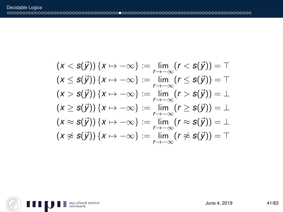$$
(x < s(\vec{y})) \{x \mapsto -\infty\} := \lim_{r \to -\infty} (r < s(\vec{y})) = T
$$
  
\n
$$
(x \le s(\vec{y})) \{x \mapsto -\infty\} := \lim_{r \to -\infty} (r \le s(\vec{y})) = T
$$
  
\n
$$
(x > s(\vec{y})) \{x \mapsto -\infty\} := \lim_{r \to -\infty} (r > s(\vec{y})) = \bot
$$
  
\n
$$
(x \ge s(\vec{y})) \{x \mapsto -\infty\} := \lim_{r \to -\infty} (r \ge s(\vec{y})) = \bot
$$
  
\n
$$
(x \approx s(\vec{y})) \{x \mapsto -\infty\} := \lim_{r \to -\infty} (r \approx s(\vec{y})) = \bot
$$
  
\n
$$
(x \not\approx s(\vec{y})) \{x \mapsto -\infty\} := \lim_{r \to -\infty} (r \not\approx s(\vec{y})) = T
$$

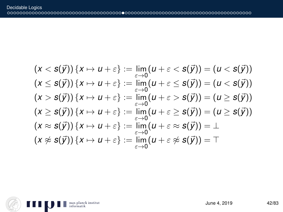$$
(x < s(\vec{y})) \{x \mapsto u + \varepsilon\} := \lim_{\varepsilon \to 0} (u + \varepsilon < s(\vec{y})) = (u < s(\vec{y}))
$$
  
\n
$$
(x \le s(\vec{y})) \{x \mapsto u + \varepsilon\} := \lim_{\varepsilon \to 0} (u + \varepsilon \le s(\vec{y})) = (u < s(\vec{y}))
$$
  
\n
$$
(x > s(\vec{y})) \{x \mapsto u + \varepsilon\} := \lim_{\varepsilon \to 0} (u + \varepsilon > s(\vec{y})) = (u \ge s(\vec{y}))
$$
  
\n
$$
(x \ge s(\vec{y})) \{x \mapsto u + \varepsilon\} := \lim_{\varepsilon \to 0} (u + \varepsilon \ge s(\vec{y})) = (u \ge s(\vec{y}))
$$
  
\n
$$
(x \approx s(\vec{y})) \{x \mapsto u + \varepsilon\} := \lim_{\varepsilon \to 0} (u + \varepsilon \approx s(\vec{y})) = \bot
$$
  
\n
$$
(x \not\approx s(\vec{y})) \{x \mapsto u + \varepsilon\} := \lim_{\varepsilon \to 0} (u + \varepsilon \not\approx s(\vec{y})) = \top
$$

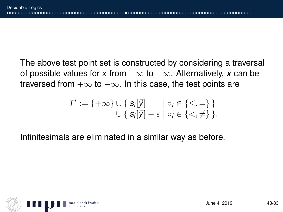The above test point set is constructed by considering a traversal of possible values for *x* from  $-\infty$  to  $+\infty$ . Alternatively, *x* can be traversed from  $+\infty$  to  $-\infty$ . In this case, the test points are

$$
T':=\{+\infty\}\cup\{\mathbf{S}_i[\vec{y}]\qquad|\circ_i\in\{\leq,=\}\}\newline\cup\{\mathbf{S}_i[\vec{y}]-\varepsilon\mid\circ_i\in\{<,\neq\}\}.
$$

Infinitesimals are eliminated in a similar way as before.

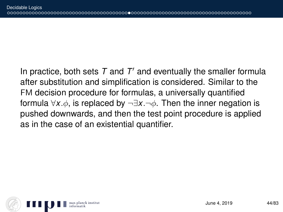In practice, both sets  $T$  and  $T'$  and eventually the smaller formula after substitution and simplification is considered. Similar to the FM decision procedure for formulas, a universally quantified formula ∀*x*.φ, is replaced by ¬∃*x*.¬φ. Then the inner negation is pushed downwards, and then the test point procedure is applied as in the case of an existential quantifier.

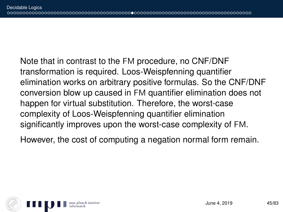Note that in contrast to the FM procedure, no CNF/DNF transformation is required. Loos-Weispfenning quantifier elimination works on arbitrary positive formulas. So the CNF/DNF conversion blow up caused in FM quantifier elimination does not happen for virtual substitution. Therefore, the worst-case complexity of Loos-Weispfenning quantifier elimination significantly improves upon the worst-case complexity of FM.

However, the cost of computing a negation normal form remain.

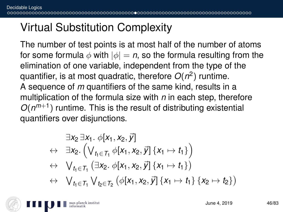# Virtual Substitution Complexity

The number of test points is at most half of the number of atoms for some formula  $\phi$  with  $|\phi| = n$ , so the formula resulting from the elimination of one variable, independent from the type of the quantifier, is at most quadratic, therefore *O*(*n* 2 ) runtime. A sequence of *m* quantifiers of the same kind, results in a multiplication of the formula size with *n* in each step, therefore  $O(n^{m+1})$  runtime. This is the result of distributing existential quantifiers over disjunctions.

$$
\exists x_2 \exists x_1. \ \phi[x_1, x_2, \vec{y}] \n\leftrightarrow \exists x_2. \left( \bigvee_{t_1 \in T_1} \phi[x_1, x_2, \vec{y}] \{x_1 \mapsto t_1\} \right) \n\leftrightarrow \bigvee_{t_1 \in T_1} (\exists x_2. \ \phi[x_1, x_2, \vec{y}] \{x_1 \mapsto t_1\}) \n\leftrightarrow \bigvee_{t_1 \in T_1} \bigvee_{t_2 \in T_2} (\phi[x_1, x_2, \vec{y}] \{x_1 \mapsto t_1\} \{x_2 \mapsto t_2\})
$$

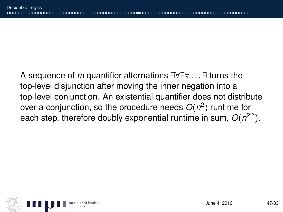A sequence of *m* quantifier alternations ∃∀∃∀ . . . ∃ turns the top-level disjunction after moving the inner negation into a top-level conjunction. An existential quantifier does not distribute over a conjunction, so the procedure needs *O*(*n* 2 ) runtime for each step, therefore doubly exponential runtime in sum,  $O(n^{2^m})$ .

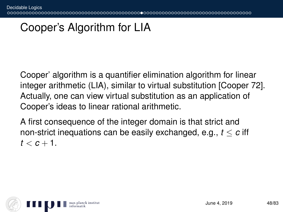## Cooper's Algorithm for LIA

Cooper' algorithm is a quantifier elimination algorithm for linear integer arithmetic (LIA), similar to virtual substitution [Cooper 72]. Actually, one can view virtual substitution as an application of Cooper's ideas to linear rational arithmetic.

A first consequence of the integer domain is that strict and non-strict inequations can be easily exchanged, e.g., *t* ≤ *c* iff  $t < c + 1$ .

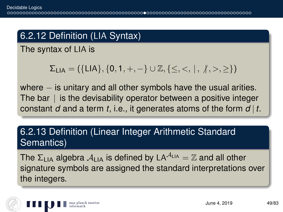### 6.2.12 Definition (LIA Syntax)

The syntax of LIA is

$$
\Sigma_{LIA} = (\{LIA\}, \{0, 1, +, -\} \cup \mathbb{Z}, \{\leq, <, \mid, \not|, >, \geq\})
$$

where  $-$  is unitary and all other symbols have the usual arities. The bar  $\parallel$  is the devisability operator between a positive integer constant *d* and a term *t*, i.e., it generates atoms of the form *d* | *t*.

### 6.2.13 Definition (Linear Integer Arithmetic Standard Semantics)

The  $\Sigma_{\text{LIA}}$  algebra  $\mathcal{A}_{\text{LIA}}$  is defined by LA<sup> $\mathcal{A}_{\text{LIA}} = \mathbb{Z}$  and all other</sup> signature symbols are assigned the standard interpretations over the integers.

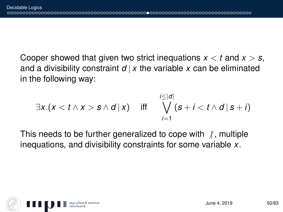Cooper showed that given two strict inequations *x* < *t* and *x* > *s*, and a divisibility constraint  $d \mid x$  the variable x can be eliminated in the following way:

$$
\exists x.(x < t \land x > s \land d \mid x) \quad \text{iff} \quad \bigvee_{i=1}^{i \leq |d|} (s + i < t \land d \mid s + i)
$$

This needs to be further generalized to cope with  $\beta$ , multiple inequations, and divisibility constraints for some variable *x*.

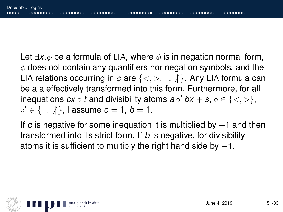Let  $\exists x.\phi$  be a formula of LIA, where  $\phi$  is in negation normal form,  $\phi$  does not contain any quantifiers nor negation symbols, and the LIA relations occurring in  $\phi$  are  $\{\langle \rangle, \rangle, \langle \rangle\}$ . Any LIA formula can be a a effectively transformed into this form. Furthermore, for all inequations  $cx \circ t$  and divisibility atoms  $a \circ' bx + s$ ,  $\circ \in \{<,>\},$  $\circ' \in \{ | , \n}/ \},$  l assume  $c = 1, b = 1$ .

If *c* is negative for some inequation it is multiplied by −1 and then transformed into its strict form. If *b* is negative, for divisibility atoms it is sufficient to multiply the right hand side by  $-1$ .

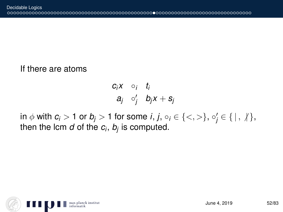#### If there are atoms

$$
\begin{array}{ccc}c_i x & \circ_i & t_i\\a_j & \circ'_j & b_j x + s_j\end{array}
$$

 $\inf \phi$  with  $c_i > 1$  or  $b_j > 1$  for some *i*,  $j, o_i \in \{ \langle , \rangle \}, o'_j \in \{ \langle , \rangle \},$ then the lcm *d* of the *c<sup>i</sup>* , *b<sup>j</sup>* is computed.

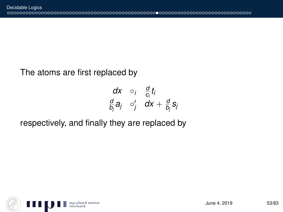### The atoms are first replaced by

$$
\begin{array}{ccc}\ndx & \circ_i & \frac{d}{c_i}t_i \\
\frac{d}{b_j}a_j & \circ'_j & dx + \frac{d}{b_j}s_j\n\end{array}
$$

### respectively, and finally they are replaced by

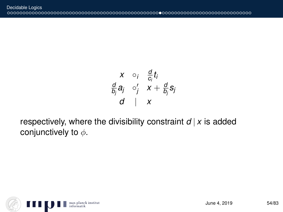$$
\begin{array}{ccc}\nX & \circ_i & \frac{d}{c_i}t_i \\
\frac{d}{b_j}a_j & \circ'_j & X + \frac{d}{b_j}s_j \\
d & X\n\end{array}
$$

respectively, where the divisibility constraint  $d | x$  is added conjunctively to  $\phi$ .

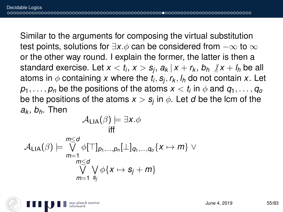Similar to the arguments for composing the virtual substitution test points, solutions for  $\exists x.\phi$  can be considered from  $-\infty$  to  $\infty$ or the other way round. I explain the former, the latter is then a standard exercise. Let  $x < t_i$ ,  $x > s_j$ ,  $a_k\,|\,x + r_k$ ,  $b_h\,\not|\,x + l_h$  be all atoms in  $\phi$  containing  $x$  where the  $t_i, s_j, r_k, l_h$  do not contain  $x.$  Let  $p_1,\ldots,p_n$  be the positions of the atoms  $x < t_i$  in  $\phi$  and  $q_1,\ldots,q_o$ be the positions of the atoms  $x > s_j$  in  $\phi.$  Let  $d$  be the lcm of the *a<sup>k</sup>* , *bh*. Then

$$
\mathcal{A}_{\mathsf{LIA}}(\beta) \models \exists x. \phi
$$
\n
$$
\mathcal{A}_{\mathsf{LIA}}(\beta) \models \bigvee_{m=1}^{m \leq d} \phi[\top]_{\rho_1, \dots, \rho_n}[\bot]_{q_1, \dots, q_o} \{x \mapsto m\} \vee\n \bigvee_{m=1}^{m \leq d} \bigvee_{s_j} \psi \phi \{x \mapsto s_j + m\}
$$
\n
$$
\stackrel{m=1}{\sim s_j} \phi \{x \mapsto s_j + m\}
$$